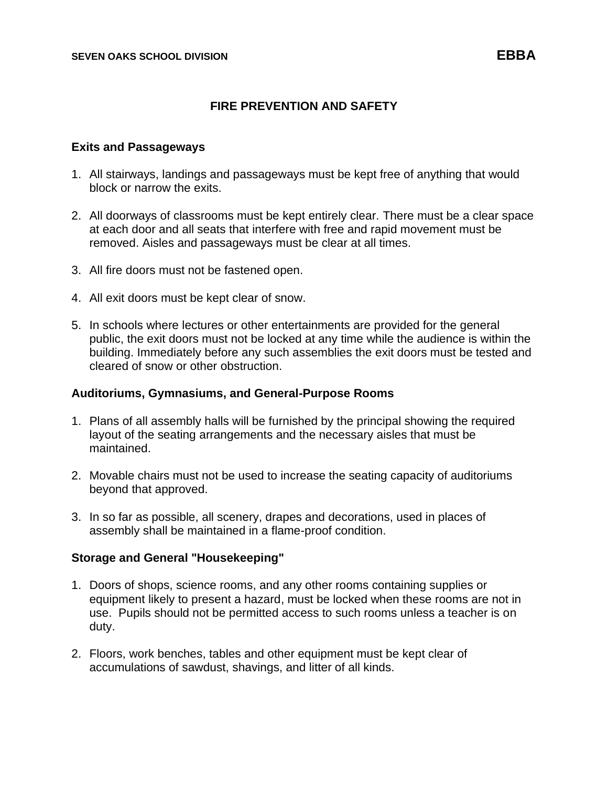## **FIRE PREVENTION AND SAFETY**

#### **Exits and Passageways**

- 1. All stairways, landings and passageways must be kept free of anything that would block or narrow the exits.
- 2. All doorways of classrooms must be kept entirely clear. There must be a clear space at each door and all seats that interfere with free and rapid movement must be removed. Aisles and passageways must be clear at all times.
- 3. All fire doors must not be fastened open.
- 4. All exit doors must be kept clear of snow.
- 5. In schools where lectures or other entertainments are provided for the general public, the exit doors must not be locked at any time while the audience is within the building. Immediately before any such assemblies the exit doors must be tested and cleared of snow or other obstruction.

#### **Auditoriums, Gymnasiums, and General-Purpose Rooms**

- 1. Plans of all assembly halls will be furnished by the principal showing the required layout of the seating arrangements and the necessary aisles that must be maintained.
- 2. Movable chairs must not be used to increase the seating capacity of auditoriums beyond that approved.
- 3. In so far as possible, all scenery, drapes and decorations, used in places of assembly shall be maintained in a flame-proof condition.

## **Storage and General "Housekeeping"**

- 1. Doors of shops, science rooms, and any other rooms containing supplies or equipment likely to present a hazard, must be locked when these rooms are not in use. Pupils should not be permitted access to such rooms unless a teacher is on duty.
- 2. Floors, work benches, tables and other equipment must be kept clear of accumulations of sawdust, shavings, and litter of all kinds.